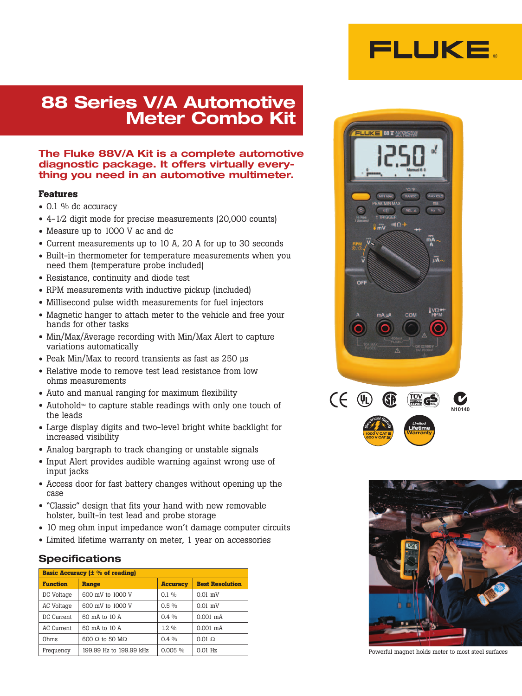

# **88 Series V/A Automotive Meter Combo Kit**

## **The Fluke 88V/A Kit is a complete automotive diagnostic package. It offers virtually everything you need in an automotive multimeter.**

#### **Features**

- 0.1 % dc accuracy
- 4-1⁄2 digit mode for precise measurements (20,000 counts)
- Measure up to 1000 V ac and dc
- Current measurements up to 10 A, 20 A for up to 30 seconds
- Built-in thermometer for temperature measurements when you need them (temperature probe included)
- Resistance, continuity and diode test
- RPM measurements with inductive pickup (included)
- Millisecond pulse width measurements for fuel injectors
- Magnetic hanger to attach meter to the vehicle and free your hands for other tasks
- Min/Max/Average recording with Min/Max Alert to capture variations automatically
- Peak Min/Max to record transients as fast as 250 µs
- Relative mode to remove test lead resistance from low ohms measurements
- Auto and manual ranging for maximum flexibility
- Autohold™ to capture stable readings with only one touch of the leads
- Large display digits and two-level bright white backlight for increased visibility
- Analog bargraph to track changing or unstable signals
- Input Alert provides audible warning against wrong use of input jacks
- Access door for fast battery changes without opening up the case
- "Classic" design that fits your hand with new removable holster, built-in test lead and probe storage
- 10 meg ohm input impedance won't damage computer circuits
- Limited lifetime warranty on meter, 1 year on accessories

## **Specifications**

| <b>Basic Accuracy (<math>\pm</math> % of reading)</b> |                               |                 |                        |  |
|-------------------------------------------------------|-------------------------------|-----------------|------------------------|--|
| <b>Function</b>                                       | <b>Range</b>                  | <b>Accuracy</b> | <b>Best Resolution</b> |  |
| DC Voltage                                            | 600 mV to 1000 V              | $0.1\%$         | $0.01$ mV              |  |
| AC Voltage                                            | 600 mV to 1000 V              | $0.5\%$         | $0.01$ mV              |  |
| DC Current                                            | 60 mA to 10 A                 | $0.4\%$         | $0.001$ mA             |  |
| AC Current                                            | 60 mA to 10 A                 | $1.2\%$         | $0.001$ mA             |  |
| Ohms                                                  | $600 \Omega$ to 50 M $\Omega$ | $0.4\%$         | $0.01 \Omega$          |  |
| Frequency                                             | 199.99 Hz to 199.99 kHz       | 0.005%          | $0.01$ Hz              |  |





Powerful magnet holds meter to most steel surfaces